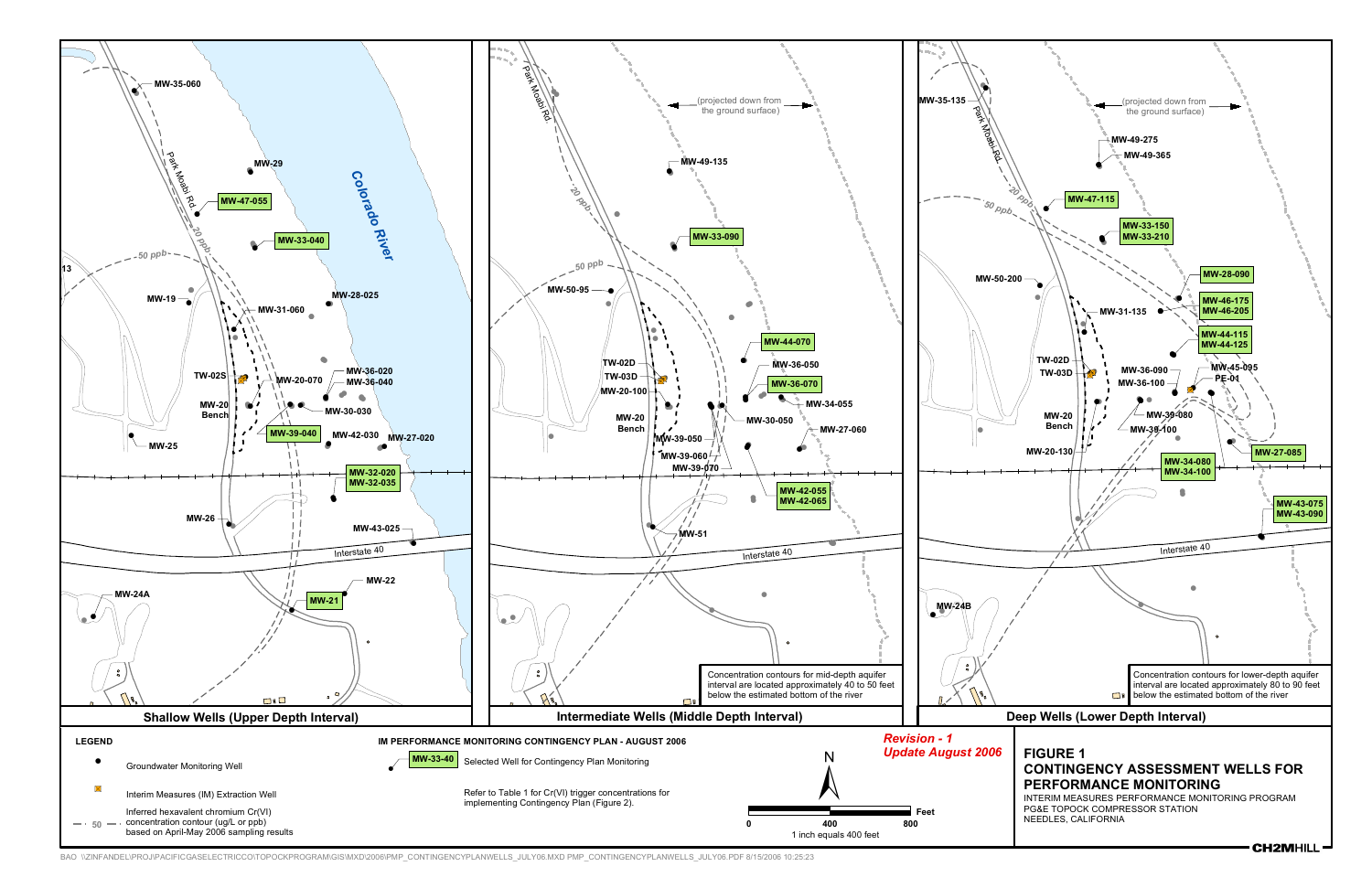

BAO \\ZINFANDEL\PROJ\PACIFICGASELECTRICCO\TOPOCKPROGRAM\GIS\MXD\2006\PMP\_CONTINGENCYPLANWELLS\_JULY06.MXD PMP\_CONTINGENCYPLANWELLS\_JULY06.PDF 8/15/2006 10:25:23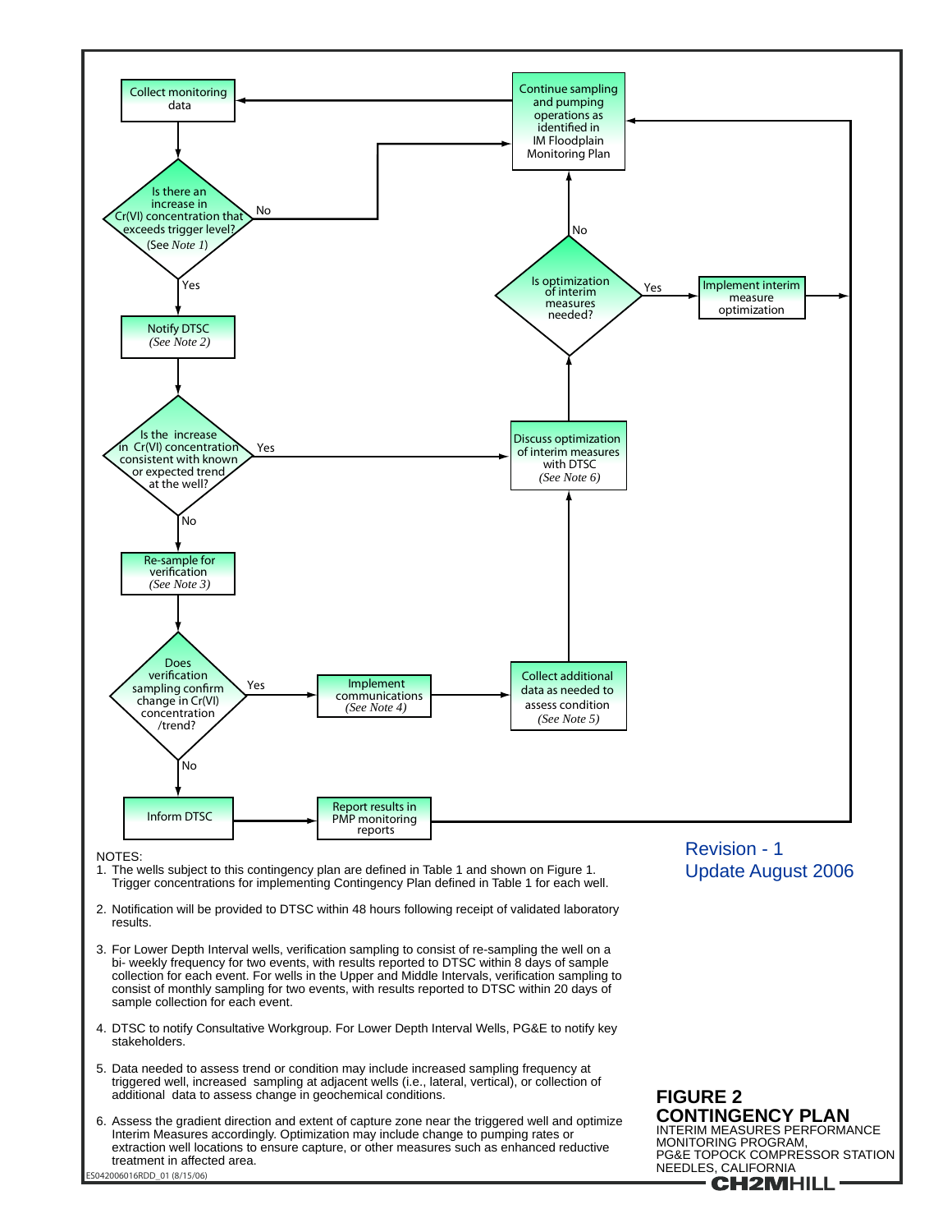